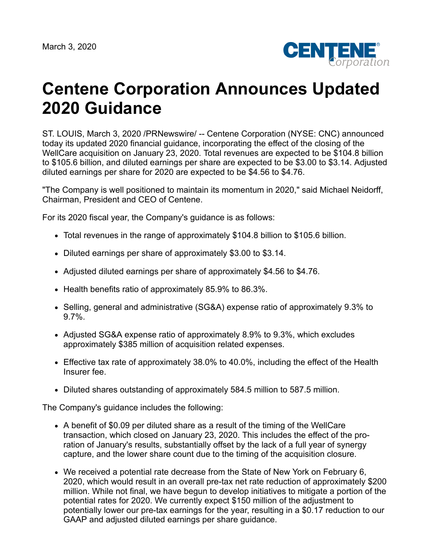

# **Centene Corporation Announces Updated 2020 Guidance**

ST. LOUIS, March 3, 2020 /PRNewswire/ -- Centene Corporation (NYSE: CNC) announced today its updated 2020 financial guidance, incorporating the effect of the closing of the WellCare acquisition on January 23, 2020. Total revenues are expected to be \$104.8 billion to \$105.6 billion, and diluted earnings per share are expected to be \$3.00 to \$3.14. Adjusted diluted earnings per share for 2020 are expected to be \$4.56 to \$4.76.

"The Company is well positioned to maintain its momentum in 2020," said Michael Neidorff, Chairman, President and CEO of Centene.

For its 2020 fiscal year, the Company's guidance is as follows:

- Total revenues in the range of approximately \$104.8 billion to \$105.6 billion.
- Diluted earnings per share of approximately \$3.00 to \$3.14.
- Adjusted diluted earnings per share of approximately \$4.56 to \$4.76.
- Health benefits ratio of approximately 85.9% to 86.3%.
- Selling, general and administrative (SG&A) expense ratio of approximately 9.3% to 9.7%.
- Adjusted SG&A expense ratio of approximately 8.9% to 9.3%, which excludes approximately \$385 million of acquisition related expenses.
- Effective tax rate of approximately 38.0% to 40.0%, including the effect of the Health Insurer fee.
- Diluted shares outstanding of approximately 584.5 million to 587.5 million.

The Company's guidance includes the following:

- A benefit of \$0.09 per diluted share as a result of the timing of the WellCare transaction, which closed on January 23, 2020. This includes the effect of the proration of January's results, substantially offset by the lack of a full year of synergy capture, and the lower share count due to the timing of the acquisition closure.
- We received a potential rate decrease from the State of New York on February 6, 2020, which would result in an overall pre-tax net rate reduction of approximately \$200 million. While not final, we have begun to develop initiatives to mitigate a portion of the potential rates for 2020. We currently expect \$150 million of the adjustment to potentially lower our pre-tax earnings for the year, resulting in a \$0.17 reduction to our GAAP and adjusted diluted earnings per share guidance.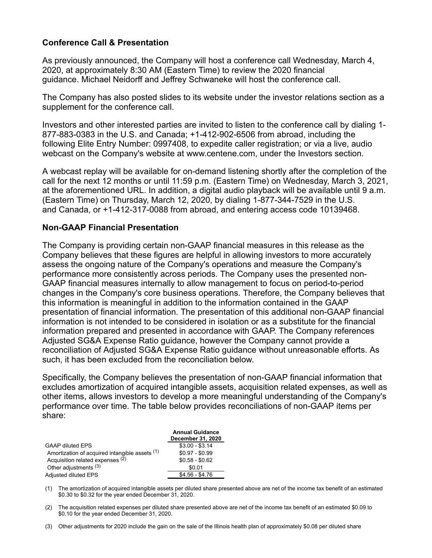## **Conference Call & Presentation**

As previously announced, the Company will host a conference call Wednesday, March 4, 2020, at approximately 8:30 AM (Eastern Time) to review the 2020 financial guidance. Michael Neidorff and Jeffrey Schwaneke will host the conference call.

The Company has also posted slides to its website under the investor relations section as a supplement for the conference call.

Investors and other interested parties are invited to listen to the conference call by dialing 1- 877-883-0383 in the U.S. and Canada; +1-412-902-6506 from abroad, including the following Elite Entry Number: 0997408, to expedite caller registration; or via a live, audio webcast on the Company's website at www.centene.com, under the Investors section.

A webcast replay will be available for on-demand listening shortly after the completion of the call for the next 12 months or until 11:59 p.m. (Eastern Time) on Wednesday, March 3, 2021, at the aforementioned URL. In addition, a digital audio playback will be available until 9 a.m. (Eastern Time) on Thursday, March 12, 2020, by dialing 1-877-344-7529 in the U.S. and Canada, or +1-412-317-0088 from abroad, and entering access code 10139468.

#### **Non-GAAP Financial Presentation**

The Company is providing certain non-GAAP financial measures in this release as the Company believes that these figures are helpful in allowing investors to more accurately assess the ongoing nature of the Company's operations and measure the Company's performance more consistently across periods. The Company uses the presented non-GAAP financial measures internally to allow management to focus on period-to-period changes in the Company's core business operations. Therefore, the Company believes that this information is meaningful in addition to the information contained in the GAAP presentation of financial information. The presentation of this additional non-GAAP financial information is not intended to be considered in isolation or as a substitute for the financial information prepared and presented in accordance with GAAP. The Company references Adjusted SG&A Expense Ratio guidance, however the Company cannot provide a reconciliation of Adjusted SG&A Expense Ratio guidance without unreasonable efforts. As such, it has been excluded from the reconciliation below.

Specifically, the Company believes the presentation of non-GAAP financial information that excludes amortization of acquired intangible assets, acquisition related expenses, as well as other items, allows investors to develop a more meaningful understanding of the Company's performance over time. The table below provides reconciliations of non-GAAP items per share:

|                                                | <b>Annual Guidance</b><br>December 31, 2020 |
|------------------------------------------------|---------------------------------------------|
| <b>GAAP diluted EPS</b>                        | $$3.00 - $3.14$                             |
| Amortization of acquired intangible assets (1) | $$0.97 - $0.99$                             |
| Acquisition related expenses (2)               | $$0.58 - $0.62$                             |
| Other adjustments (3)                          | \$0.01                                      |
| Adjusted diluted EPS                           | \$4.56 - \$4.76                             |

(1) The amortization of acquired intangible assets per diluted share presented above are net of the income tax benefit of an estimated \$0.30 to \$0.32 for the year ended December 31, 2020.

(2) The acquisition related expenses per diluted share presented above are net of the income tax benefit of an estimated \$0.09 to \$0.10 for the year ended December 31, 2020.

(3) Other adjustments for 2020 include the gain on the sale of the Illinois health plan of approximately \$0.08 per diluted share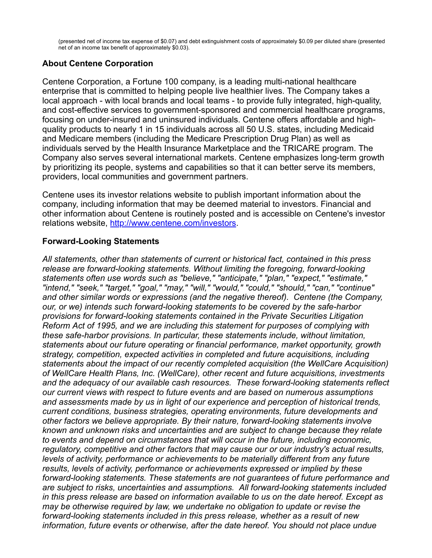(presented net of income tax expense of \$0.07) and debt extinguishment costs of approximately \$0.09 per diluted share (presented net of an income tax benefit of approximately \$0.03).

## **About Centene Corporation**

Centene Corporation, a Fortune 100 company, is a leading multi-national healthcare enterprise that is committed to helping people live healthier lives. The Company takes a local approach - with local brands and local teams - to provide fully integrated, high-quality, and cost-effective services to government-sponsored and commercial healthcare programs, focusing on under-insured and uninsured individuals. Centene offers affordable and highquality products to nearly 1 in 15 individuals across all 50 U.S. states, including Medicaid and Medicare members (including the Medicare Prescription Drug Plan) as well as individuals served by the Health Insurance Marketplace and the TRICARE program. The Company also serves several international markets. Centene emphasizes long-term growth by prioritizing its people, systems and capabilities so that it can better serve its members, providers, local communities and government partners.

Centene uses its investor relations website to publish important information about the company, including information that may be deemed material to investors. Financial and other information about Centene is routinely posted and is accessible on Centene's investor relations website, <http://www.centene.com/investors>.

## **Forward-Looking Statements**

*All statements, other than statements of current or historical fact, contained in this press release are forward-looking statements. Without limiting the foregoing, forward-looking statements often use words such as "believe," "anticipate," "plan," "expect," "estimate," "intend," "seek," "target," "goal," "may," "will," "would," "could," "should," "can," "continue" and other similar words or expressions (and the negative thereof). Centene (the Company, our, or we) intends such forward-looking statements to be covered by the safe-harbor provisions for forward-looking statements contained in the Private Securities Litigation Reform Act of 1995, and we are including this statement for purposes of complying with these safe-harbor provisions. In particular, these statements include, without limitation, statements about our future operating or financial performance, market opportunity, growth strategy, competition, expected activities in completed and future acquisitions, including statements about the impact of our recently completed acquisition (the WellCare Acquisition) of WellCare Health Plans, Inc. (WellCare), other recent and future acquisitions, investments and the adequacy of our available cash resources. These forward-looking statements reflect our current views with respect to future events and are based on numerous assumptions and assessments made by us in light of our experience and perception of historical trends, current conditions, business strategies, operating environments, future developments and other factors we believe appropriate. By their nature, forward-looking statements involve known and unknown risks and uncertainties and are subject to change because they relate to events and depend on circumstances that will occur in the future, including economic, regulatory, competitive and other factors that may cause our or our industry's actual results, levels of activity, performance or achievements to be materially different from any future results, levels of activity, performance or achievements expressed or implied by these forward-looking statements. These statements are not guarantees of future performance and are subject to risks, uncertainties and assumptions. All forward-looking statements included in this press release are based on information available to us on the date hereof. Except as may be otherwise required by law, we undertake no obligation to update or revise the forward-looking statements included in this press release, whether as a result of new information, future events or otherwise, after the date hereof. You should not place undue*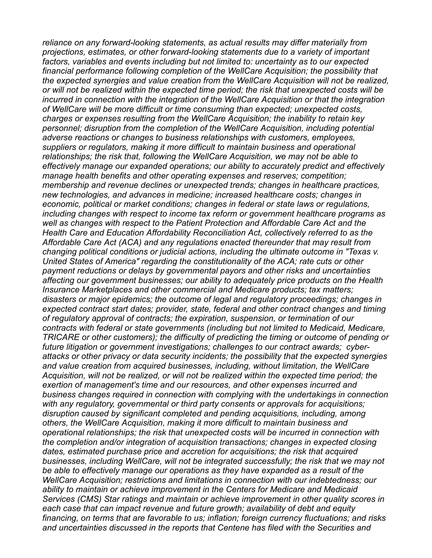*reliance on any forward-looking statements, as actual results may differ materially from projections, estimates, or other forward-looking statements due to a variety of important factors, variables and events including but not limited to: uncertainty as to our expected financial performance following completion of the WellCare Acquisition; the possibility that the expected synergies and value creation from the WellCare Acquisition will not be realized, or will not be realized within the expected time period; the risk that unexpected costs will be incurred in connection with the integration of the WellCare Acquisition or that the integration of WellCare will be more difficult or time consuming than expected; unexpected costs, charges or expenses resulting from the WellCare Acquisition; the inability to retain key personnel; disruption from the completion of the WellCare Acquisition, including potential adverse reactions or changes to business relationships with customers, employees, suppliers or regulators, making it more difficult to maintain business and operational relationships; the risk that, following the WellCare Acquisition, we may not be able to effectively manage our expanded operations; our ability to accurately predict and effectively manage health benefits and other operating expenses and reserves; competition; membership and revenue declines or unexpected trends; changes in healthcare practices, new technologies, and advances in medicine; increased healthcare costs; changes in economic, political or market conditions; changes in federal or state laws or regulations, including changes with respect to income tax reform or government healthcare programs as well as changes with respect to the Patient Protection and Affordable Care Act and the Health Care and Education Affordability Reconciliation Act, collectively referred to as the Affordable Care Act (ACA) and any regulations enacted thereunder that may result from changing political conditions or judicial actions, including the ultimate outcome in "Texas v. United States of America" regarding the constitutionality of the ACA; rate cuts or other payment reductions or delays by governmental payors and other risks and uncertainties affecting our government businesses; our ability to adequately price products on the Health Insurance Marketplaces and other commercial and Medicare products; tax matters; disasters or major epidemics; the outcome of legal and regulatory proceedings; changes in expected contract start dates; provider, state, federal and other contract changes and timing of regulatory approval of contracts; the expiration, suspension, or termination of our contracts with federal or state governments (including but not limited to Medicaid, Medicare, TRICARE or other customers); the difficulty of predicting the timing or outcome of pending or future litigation or government investigations; challenges to our contract awards; cyberattacks or other privacy or data security incidents; the possibility that the expected synergies and value creation from acquired businesses, including, without limitation, the WellCare Acquisition, will not be realized, or will not be realized within the expected time period; the exertion of management's time and our resources, and other expenses incurred and business changes required in connection with complying with the undertakings in connection with any regulatory, governmental or third party consents or approvals for acquisitions; disruption caused by significant completed and pending acquisitions, including, among others, the WellCare Acquisition, making it more difficult to maintain business and operational relationships; the risk that unexpected costs will be incurred in connection with the completion and/or integration of acquisition transactions; changes in expected closing dates, estimated purchase price and accretion for acquisitions; the risk that acquired businesses, including WellCare, will not be integrated successfully; the risk that we may not be able to effectively manage our operations as they have expanded as a result of the WellCare Acquisition; restrictions and limitations in connection with our indebtedness; our ability to maintain or achieve improvement in the Centers for Medicare and Medicaid Services (CMS) Star ratings and maintain or achieve improvement in other quality scores in each case that can impact revenue and future growth; availability of debt and equity financing, on terms that are favorable to us; inflation; foreign currency fluctuations; and risks and uncertainties discussed in the reports that Centene has filed with the Securities and*